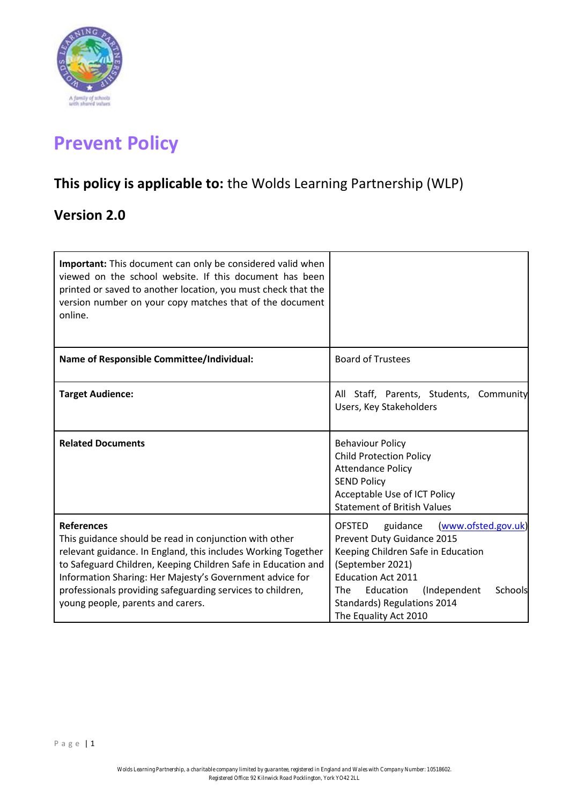

# **Prevent Policy**

# **This policy is applicable to:** the Wolds Learning Partnership (WLP)

# **Version 2.0**

| <b>Important:</b> This document can only be considered valid when<br>viewed on the school website. If this document has been<br>printed or saved to another location, you must check that the<br>version number on your copy matches that of the document<br>online.                                                                                                         |                                                                                                                                                                                                                                                                              |
|------------------------------------------------------------------------------------------------------------------------------------------------------------------------------------------------------------------------------------------------------------------------------------------------------------------------------------------------------------------------------|------------------------------------------------------------------------------------------------------------------------------------------------------------------------------------------------------------------------------------------------------------------------------|
| <b>Name of Responsible Committee/Individual:</b>                                                                                                                                                                                                                                                                                                                             | <b>Board of Trustees</b>                                                                                                                                                                                                                                                     |
| <b>Target Audience:</b>                                                                                                                                                                                                                                                                                                                                                      | All Staff, Parents, Students, Community<br>Users, Key Stakeholders                                                                                                                                                                                                           |
| <b>Related Documents</b>                                                                                                                                                                                                                                                                                                                                                     | <b>Behaviour Policy</b><br><b>Child Protection Policy</b><br><b>Attendance Policy</b><br><b>SEND Policy</b><br>Acceptable Use of ICT Policy<br><b>Statement of British Values</b>                                                                                            |
| <b>References</b><br>This guidance should be read in conjunction with other<br>relevant guidance. In England, this includes Working Together<br>to Safeguard Children, Keeping Children Safe in Education and<br>Information Sharing: Her Majesty's Government advice for<br>professionals providing safeguarding services to children,<br>young people, parents and carers. | (www.ofsted.gov.uk)<br><b>OFSTED</b><br>guidance<br>Prevent Duty Guidance 2015<br>Keeping Children Safe in Education<br>(September 2021)<br><b>Education Act 2011</b><br>Education<br>Schools<br>The<br>(Independent<br>Standards) Regulations 2014<br>The Equality Act 2010 |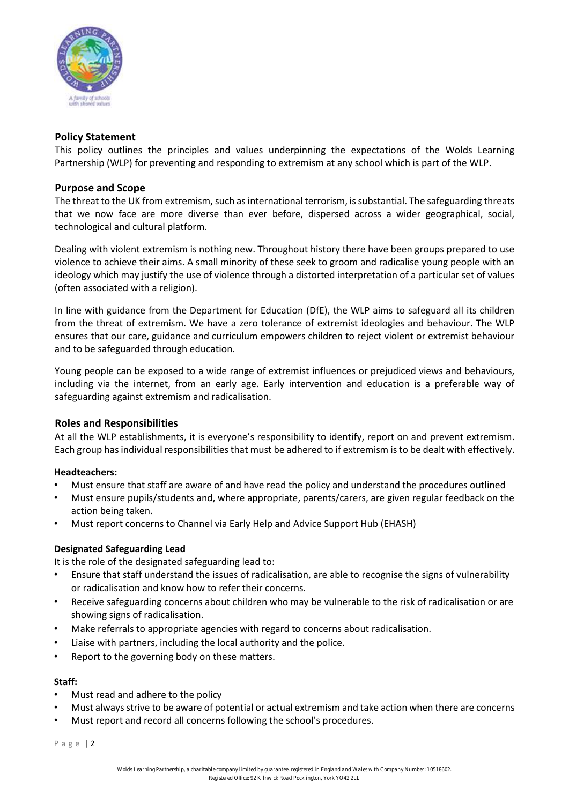

# **Policy Statement**

This policy outlines the principles and values underpinning the expectations of the Wolds Learning Partnership (WLP) for preventing and responding to extremism at any school which is part of the WLP.

#### **Purpose and Scope**

The threat to the UK from extremism, such as international terrorism, is substantial. The safeguarding threats that we now face are more diverse than ever before, dispersed across a wider geographical, social, technological and cultural platform.

Dealing with violent extremism is nothing new. Throughout history there have been groups prepared to use violence to achieve their aims. A small minority of these seek to groom and radicalise young people with an ideology which may justify the use of violence through a distorted interpretation of a particular set of values (often associated with a religion).

In line with guidance from the Department for Education (DfE), the WLP aims to safeguard all its children from the threat of extremism. We have a zero tolerance of extremist ideologies and behaviour. The WLP ensures that our care, guidance and curriculum empowers children to reject violent or extremist behaviour and to be safeguarded through education.

Young people can be exposed to a wide range of extremist influences or prejudiced views and behaviours, including via the internet, from an early age. Early intervention and education is a preferable way of safeguarding against extremism and radicalisation.

#### **Roles and Responsibilities**

At all the WLP establishments, it is everyone's responsibility to identify, report on and prevent extremism. Each group has individual responsibilities that must be adhered to if extremism is to be dealt with effectively.

#### **Headteachers:**

- Must ensure that staff are aware of and have read the policy and understand the procedures outlined
- Must ensure pupils/students and, where appropriate, parents/carers, are given regular feedback on the action being taken.
- Must report concerns to Channel via Early Help and Advice Support Hub (EHASH)

# **Designated Safeguarding Lead**

It is the role of the designated safeguarding lead to:

- Ensure that staff understand the issues of radicalisation, are able to recognise the signs of vulnerability or radicalisation and know how to refer their concerns.
- Receive safeguarding concerns about children who may be vulnerable to the risk of radicalisation or are showing signs of radicalisation.
- Make referrals to appropriate agencies with regard to concerns about radicalisation.
- Liaise with partners, including the local authority and the police.
- Report to the governing body on these matters.

#### **Staff:**

- Must read and adhere to the policy
- Must always strive to be aware of potential or actual extremism and take action when there are concerns
- Must report and record all concerns following the school's procedures.

P a g e | 2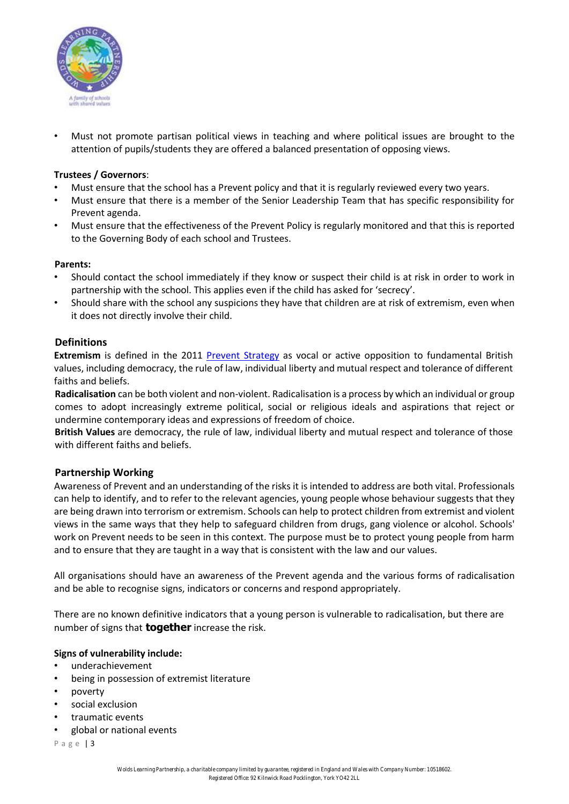

• Must not promote partisan political views in teaching and where political issues are brought to the attention of pupils/students they are offered a balanced presentation of opposing views.

### **Trustees / Governors**:

- Must ensure that the school has a Prevent policy and that it is regularly reviewed every two years.
- Must ensure that there is a member of the Senior Leadership Team that has specific responsibility for Prevent agenda.
- Must ensure that the effectiveness of the Prevent Policy is regularly monitored and that this is reported to the Governing Body of each school and Trustees.

#### **Parents:**

- Should contact the school immediately if they know or suspect their child is at risk in order to work in partnership with the school. This applies even if the child has asked for 'secrecy'.
- Should share with the school any suspicions they have that children are at risk of extremism, even when it does not directly involve their child.

# **Definitions**

**Extremism** is defined in the 2011 [Prevent Strategy](https://www.gov.uk/government/uploads/system/uploads/attachment_data/file/97976/prevent-strategy-review.pdf) [a](https://www.gov.uk/government/uploads/system/uploads/attachment_data/file/97976/prevent-strategy-review.pdf)s vocal or active opposition to fundamental British values, including democracy, the rule of law, individual liberty and mutual respect and tolerance of different faiths and beliefs.

**Radicalisation** can be both violent and non‐violent. Radicalisation is a process by which an individual or group comes to adopt increasingly extreme political, social or religious ideals and aspirations that reject or undermine contemporary ideas and expressions of freedom of choice.

**British Values** are democracy, the rule of law, individual liberty and mutual respect and tolerance of those with different faiths and beliefs.

#### **Partnership Working**

Awareness of Prevent and an understanding of the risks it is intended to address are both vital. Professionals can help to identify, and to refer to the relevant agencies, young people whose behaviour suggests that they are being drawn into terrorism or extremism. Schools can help to protect children from extremist and violent views in the same ways that they help to safeguard children from drugs, gang violence or alcohol. Schools' work on Prevent needs to be seen in this context. The purpose must be to protect young people from harm and to ensure that they are taught in a way that is consistent with the law and our values.

All organisations should have an awareness of the Prevent agenda and the various forms of radicalisation and be able to recognise signs, indicators or concerns and respond appropriately.

There are no known definitive indicators that a young person is vulnerable to radicalisation, but there are number of signs that **together** increase the risk.

#### **Signs of vulnerability include:**

- underachievement
- being in possession of extremist literature
- poverty
- social exclusion
- traumatic events
- global or national events

P a g e | 3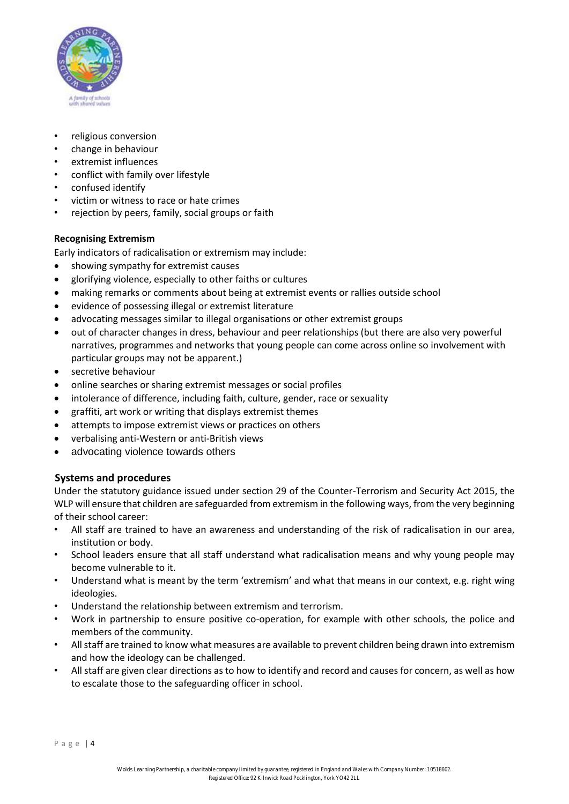

- religious conversion
- change in behaviour
- extremist influences
- conflict with family over lifestyle
- confused identify
- victim or witness to race or hate crimes
- rejection by peers, family, social groups or faith

#### **Recognising Extremism**

Early indicators of radicalisation or extremism may include:

- showing sympathy for extremist causes
- glorifying violence, especially to other faiths or cultures
- making remarks or comments about being at extremist events or rallies outside school
- evidence of possessing illegal or extremist literature
- advocating messages similar to illegal organisations or other extremist groups
- out of character changes in dress, behaviour and peer relationships (but there are also very powerful narratives, programmes and networks that young people can come across online so involvement with particular groups may not be apparent.)
- secretive behaviour
- online searches or sharing extremist messages or social profiles
- intolerance of difference, including faith, culture, gender, race or sexuality
- graffiti, art work or writing that displays extremist themes
- attempts to impose extremist views or practices on others
- verbalising anti-Western or anti-British views
- advocating violence towards others

# **Systems and procedures**

Under the statutory guidance issued under section 29 of the Counter‐Terrorism and Security Act 2015, the WLP will ensure that children are safeguarded from extremism in the following ways, from the very beginning of their school career:

- All staff are trained to have an awareness and understanding of the risk of radicalisation in our area, institution or body.
- School leaders ensure that all staff understand what radicalisation means and why young people may become vulnerable to it.
- Understand what is meant by the term 'extremism' and what that means in our context, e.g. right wing ideologies.
- Understand the relationship between extremism and terrorism.
- Work in partnership to ensure positive co‐operation, for example with other schools, the police and members of the community.
- All staff are trained to know what measures are available to prevent children being drawn into extremism and how the ideology can be challenged.
- All staff are given clear directions as to how to identify and record and causes for concern, as well as how to escalate those to the safeguarding officer in school.